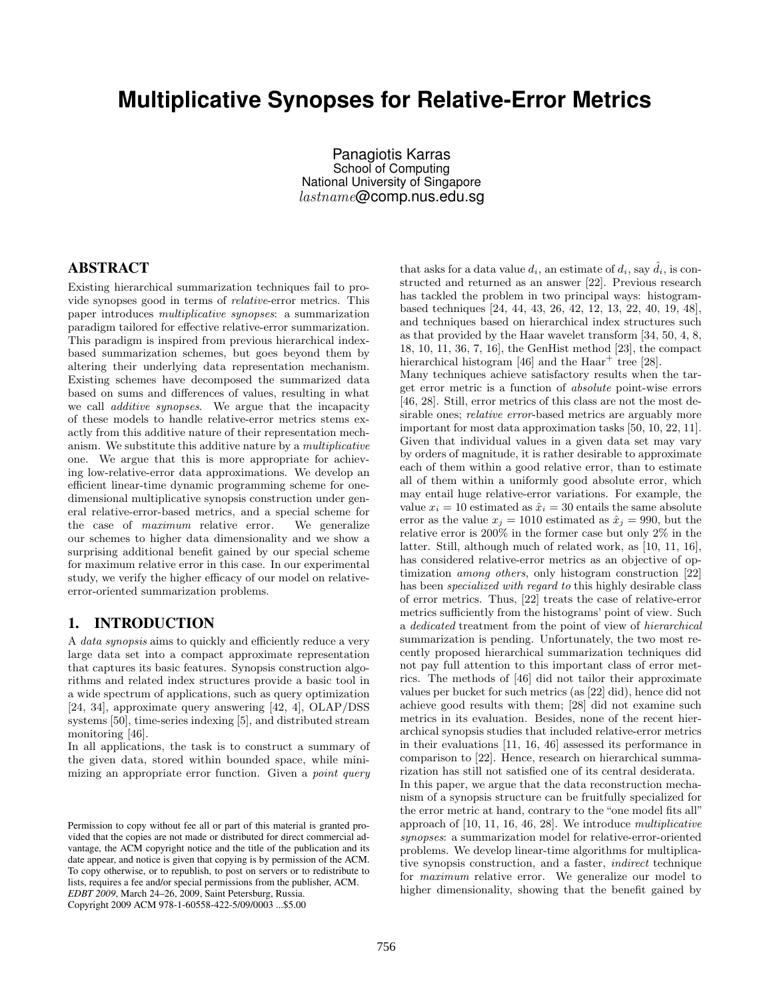# **Multiplicative Synopses for Relative-Error Metrics**

Panagiotis Karras School of Computing National University of Singapore lastname@comp.nus.edu.sg

# ABSTRACT

Existing hierarchical summarization techniques fail to provide synopses good in terms of relative-error metrics. This paper introduces multiplicative synopses: a summarization paradigm tailored for effective relative-error summarization. This paradigm is inspired from previous hierarchical indexbased summarization schemes, but goes beyond them by altering their underlying data representation mechanism. Existing schemes have decomposed the summarized data based on sums and differences of values, resulting in what we call additive synopses. We argue that the incapacity of these models to handle relative-error metrics stems exactly from this additive nature of their representation mechanism. We substitute this additive nature by a multiplicative one. We argue that this is more appropriate for achieving low-relative-error data approximations. We develop an efficient linear-time dynamic programming scheme for onedimensional multiplicative synopsis construction under general relative-error-based metrics, and a special scheme for the case of maximum relative error. We generalize our schemes to higher data dimensionality and we show a surprising additional benefit gained by our special scheme for maximum relative error in this case. In our experimental study, we verify the higher efficacy of our model on relativeerror-oriented summarization problems.

# 1. INTRODUCTION

A data synopsis aims to quickly and efficiently reduce a very large data set into a compact approximate representation that captures its basic features. Synopsis construction algorithms and related index structures provide a basic tool in a wide spectrum of applications, such as query optimization [24, 34], approximate query answering [42, 4], OLAP/DSS systems [50], time-series indexing [5], and distributed stream monitoring [46].

In all applications, the task is to construct a summary of the given data, stored within bounded space, while minimizing an appropriate error function. Given a *point query* 

that asks for a data value  $d_i$ , an estimate of  $d_i$ , say  $\tilde{d}_i$ , is constructed and returned as an answer [22]. Previous research has tackled the problem in two principal ways: histogrambased techniques [24, 44, 43, 26, 42, 12, 13, 22, 40, 19, 48], and techniques based on hierarchical index structures such as that provided by the Haar wavelet transform [34, 50, 4, 8, 18, 10, 11, 36, 7, 16], the GenHist method [23], the compact hierarchical histogram [46] and the Haar<sup>+</sup> tree [28].

Many techniques achieve satisfactory results when the target error metric is a function of absolute point-wise errors [46, 28]. Still, error metrics of this class are not the most desirable ones; *relative error*-based metrics are arguably more important for most data approximation tasks [50, 10, 22, 11]. Given that individual values in a given data set may vary by orders of magnitude, it is rather desirable to approximate each of them within a good relative error, than to estimate all of them within a uniformly good absolute error, which may entail huge relative-error variations. For example, the value  $x_i = 10$  estimated as  $\hat{x}_i = 30$  entails the same absolute error as the value  $x_j = 1010$  estimated as  $\hat{x}_j = 990$ , but the relative error is 200% in the former case but only 2% in the latter. Still, although much of related work, as [10, 11, 16], has considered relative-error metrics as an objective of optimization among others, only histogram construction [22] has been *specialized with regard to* this highly desirable class of error metrics. Thus, [22] treats the case of relative-error metrics sufficiently from the histograms' point of view. Such a dedicated treatment from the point of view of hierarchical summarization is pending. Unfortunately, the two most recently proposed hierarchical summarization techniques did not pay full attention to this important class of error metrics. The methods of [46] did not tailor their approximate values per bucket for such metrics (as [22] did), hence did not achieve good results with them; [28] did not examine such metrics in its evaluation. Besides, none of the recent hierarchical synopsis studies that included relative-error metrics in their evaluations [11, 16, 46] assessed its performance in comparison to [22]. Hence, research on hierarchical summarization has still not satisfied one of its central desiderata. In this paper, we argue that the data reconstruction mechanism of a synopsis structure can be fruitfully specialized for the error metric at hand, contrary to the "one model fits all" approach of [10, 11, 16, 46, 28]. We introduce multiplicative synopses: a summarization model for relative-error-oriented problems. We develop linear-time algorithms for multiplicative synopsis construction, and a faster, indirect technique for maximum relative error. We generalize our model to higher dimensionality, showing that the benefit gained by

Permission to copy without fee all or part of this material is granted provided that the copies are not made or distributed for direct commercial advantage, the ACM copyright notice and the title of the publication and its date appear, and notice is given that copying is by permission of the ACM. To copy otherwise, or to republish, to post on servers or to redistribute to lists, requires a fee and/or special permissions from the publisher, ACM. *EDBT 2009*, March 24–26, 2009, Saint Petersburg, Russia. Copyright 2009 ACM 978-1-60558-422-5/09/0003 ...\$5.00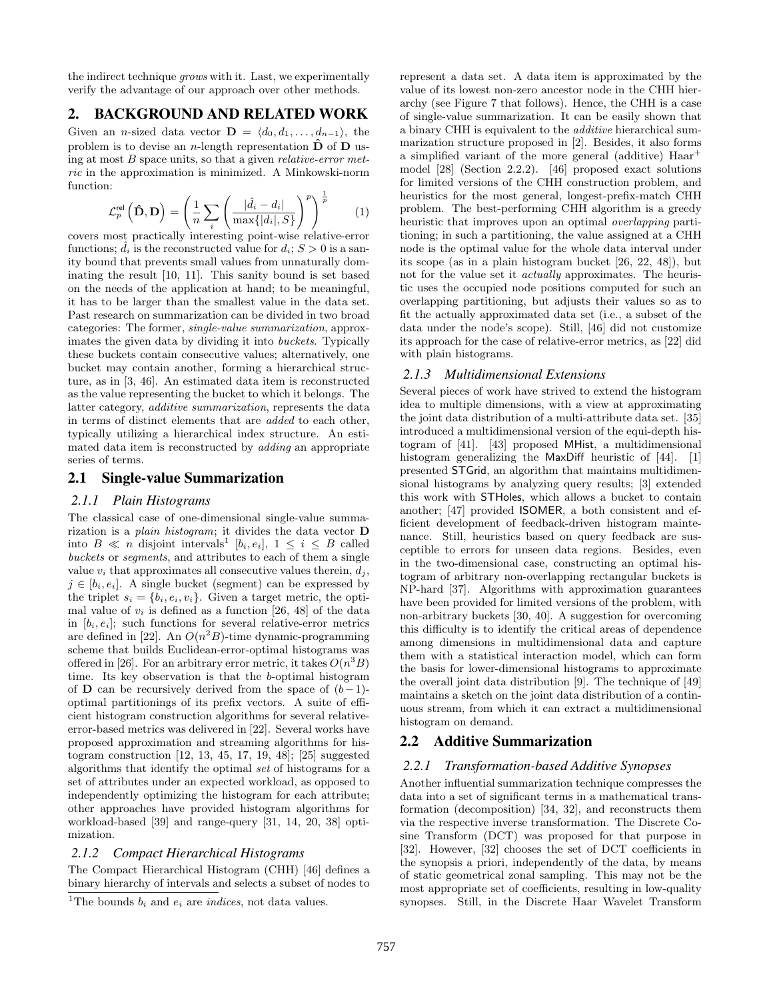the indirect technique grows with it. Last, we experimentally verify the advantage of our approach over other methods.

## 2. BACKGROUND AND RELATED WORK

Given an *n*-sized data vector  $\mathbf{D} = \langle d_0, d_1, \ldots, d_{n-1} \rangle$ , the problem is to devise an *n*-length representation  $\hat{\mathbf{D}}$  of  $\mathbf{D}$  using at most  $B$  space units, so that a given *relative-error met*ric in the approximation is minimized. A Minkowski-norm function:

$$
\mathcal{L}_p^{\text{rel}}\left(\hat{\mathbf{D}}, \mathbf{D}\right) = \left(\frac{1}{n} \sum_{i} \left(\frac{|\hat{d}_i - d_i|}{\max\{|d_i|, S\}}\right)^p\right)^{\frac{1}{p}} \tag{1}
$$

covers most practically interesting point-wise relative-error functions;  $d_i$  is the reconstructed value for  $d_i$ ;  $S > 0$  is a sanity bound that prevents small values from unnaturally dominating the result [10, 11]. This sanity bound is set based on the needs of the application at hand; to be meaningful, it has to be larger than the smallest value in the data set. Past research on summarization can be divided in two broad categories: The former, single-value summarization, approximates the given data by dividing it into buckets. Typically these buckets contain consecutive values; alternatively, one bucket may contain another, forming a hierarchical structure, as in [3, 46]. An estimated data item is reconstructed as the value representing the bucket to which it belongs. The latter category, additive summarization, represents the data in terms of distinct elements that are added to each other, typically utilizing a hierarchical index structure. An estimated data item is reconstructed by *adding* an appropriate series of terms.

#### 2.1 Single-value Summarization

#### *2.1.1 Plain Histograms*

The classical case of one-dimensional single-value summarization is a *plain histogram*; it divides the data vector  $$ into  $B \ll n$  disjoint intervals<sup>1</sup> [ $b_i, e_i$ ],  $1 \leq i \leq B$  called buckets or segments, and attributes to each of them a single value  $v_i$  that approximates all consecutive values therein,  $d_i$ ,  $j \in [b_i, e_i]$ . A single bucket (segment) can be expressed by the triplet  $s_i = \{b_i, e_i, v_i\}$ . Given a target metric, the optimal value of  $v_i$  is defined as a function [26, 48] of the data in  $[b_i, e_i]$ ; such functions for several relative-error metrics are defined in [22]. An  $O(n^2B)$ -time dynamic-programming scheme that builds Euclidean-error-optimal histograms was offered in [26]. For an arbitrary error metric, it takes  $O(n^3B)$ time. Its key observation is that the b-optimal histogram of **D** can be recursively derived from the space of  $(b-1)$ optimal partitionings of its prefix vectors. A suite of efficient histogram construction algorithms for several relativeerror-based metrics was delivered in [22]. Several works have proposed approximation and streaming algorithms for histogram construction [12, 13, 45, 17, 19, 48]; [25] suggested algorithms that identify the optimal set of histograms for a set of attributes under an expected workload, as opposed to independently optimizing the histogram for each attribute; other approaches have provided histogram algorithms for workload-based [39] and range-query [31, 14, 20, 38] optimization.

## *2.1.2 Compact Hierarchical Histograms*

The Compact Hierarchical Histogram (CHH) [46] defines a binary hierarchy of intervals and selects a subset of nodes to represent a data set. A data item is approximated by the value of its lowest non-zero ancestor node in the CHH hierarchy (see Figure 7 that follows). Hence, the CHH is a case of single-value summarization. It can be easily shown that a binary CHH is equivalent to the additive hierarchical summarization structure proposed in [2]. Besides, it also forms a simplified variant of the more general (additive) Haar<sup>+</sup> model [28] (Section 2.2.2). [46] proposed exact solutions for limited versions of the CHH construction problem, and heuristics for the most general, longest-prefix-match CHH problem. The best-performing CHH algorithm is a greedy heuristic that improves upon an optimal *overlapping* partitioning; in such a partitioning, the value assigned at a CHH node is the optimal value for the whole data interval under its scope (as in a plain histogram bucket [26, 22, 48]), but not for the value set it actually approximates. The heuristic uses the occupied node positions computed for such an overlapping partitioning, but adjusts their values so as to fit the actually approximated data set (i.e., a subset of the data under the node's scope). Still, [46] did not customize its approach for the case of relative-error metrics, as [22] did with plain histograms.

#### *2.1.3 Multidimensional Extensions*

Several pieces of work have strived to extend the histogram idea to multiple dimensions, with a view at approximating the joint data distribution of a multi-attribute data set. [35] introduced a multidimensional version of the equi-depth histogram of [41]. [43] proposed MHist, a multidimensional histogram generalizing the MaxDiff heuristic of [44]. [1] presented STGrid, an algorithm that maintains multidimensional histograms by analyzing query results; [3] extended this work with STHoles, which allows a bucket to contain another; [47] provided ISOMER, a both consistent and efficient development of feedback-driven histogram maintenance. Still, heuristics based on query feedback are susceptible to errors for unseen data regions. Besides, even in the two-dimensional case, constructing an optimal histogram of arbitrary non-overlapping rectangular buckets is NP-hard [37]. Algorithms with approximation guarantees have been provided for limited versions of the problem, with non-arbitrary buckets [30, 40]. A suggestion for overcoming this difficulty is to identify the critical areas of dependence among dimensions in multidimensional data and capture them with a statistical interaction model, which can form the basis for lower-dimensional histograms to approximate the overall joint data distribution [9]. The technique of [49] maintains a sketch on the joint data distribution of a continuous stream, from which it can extract a multidimensional histogram on demand.

## 2.2 Additive Summarization

#### *2.2.1 Transformation-based Additive Synopses*

Another influential summarization technique compresses the data into a set of significant terms in a mathematical transformation (decomposition) [34, 32], and reconstructs them via the respective inverse transformation. The Discrete Cosine Transform (DCT) was proposed for that purpose in [32]. However, [32] chooses the set of DCT coefficients in the synopsis a priori, independently of the data, by means of static geometrical zonal sampling. This may not be the most appropriate set of coefficients, resulting in low-quality synopses. Still, in the Discrete Haar Wavelet Transform

<sup>&</sup>lt;sup>1</sup>The bounds  $b_i$  and  $e_i$  are *indices*, not data values.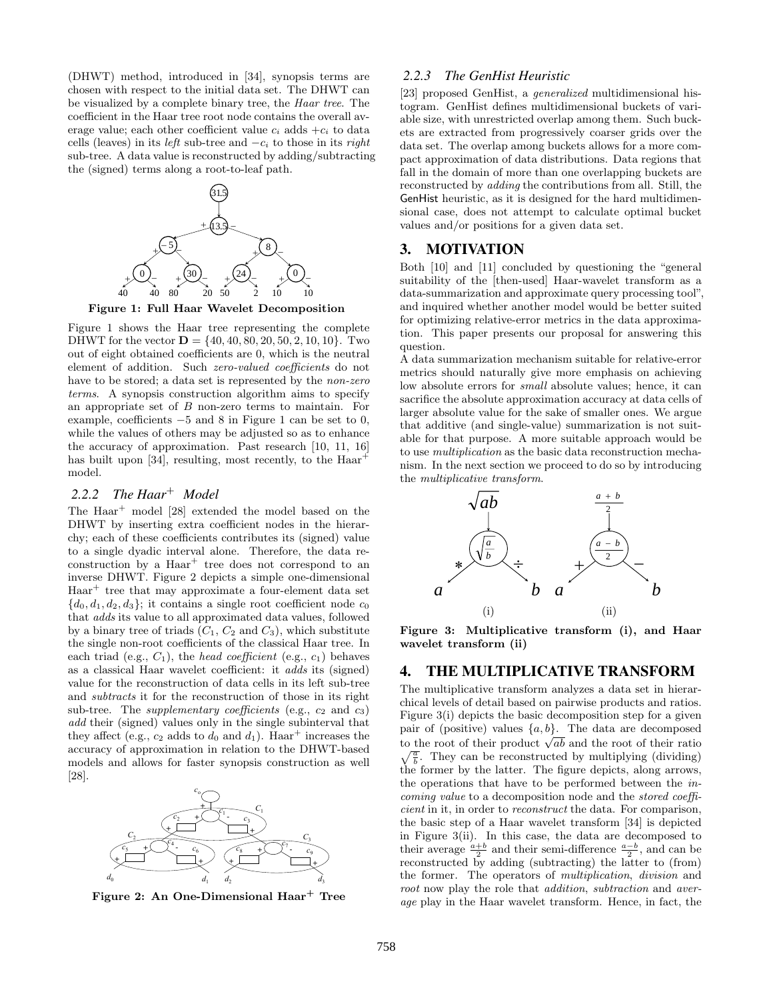(DHWT) method, introduced in [34], synopsis terms are chosen with respect to the initial data set. The DHWT can be visualized by a complete binary tree, the Haar tree. The coefficient in the Haar tree root node contains the overall average value; each other coefficient value  $c_i$  adds  $+c_i$  to data cells (leaves) in its *left* sub-tree and  $-c_i$  to those in its right sub-tree. A data value is reconstructed by adding/subtracting the (signed) terms along a root-to-leaf path.



Figure 1: Full Haar Wavelet Decomposition

Figure 1 shows the Haar tree representing the complete DHWT for the vector  $\mathbf{D} = \{40, 40, 80, 20, 50, 2, 10, 10\}$ . Two out of eight obtained coefficients are 0, which is the neutral element of addition. Such zero-valued coefficients do not have to be stored; a data set is represented by the *non-zero* terms. A synopsis construction algorithm aims to specify an appropriate set of B non-zero terms to maintain. For example, coefficients −5 and 8 in Figure 1 can be set to 0, while the values of others may be adjusted so as to enhance the accuracy of approximation. Past research [10, 11, 16] has built upon [34], resulting, most recently, to the Haar<sup>-</sup> model.

# *2.2.2 The Haar*<sup>+</sup> *Model*

The Haar<sup>+</sup> model [28] extended the model based on the DHWT by inserting extra coefficient nodes in the hierarchy; each of these coefficients contributes its (signed) value to a single dyadic interval alone. Therefore, the data re- $\alpha$  construction by a  $Haar^+$  tree does not correspond to an inverse DHWT. Figure 2 depicts a simple one-dimensional Haar<sup>+</sup> tree that may approximate a four-element data set  ${d_0, d_1, d_2, d_3}$ ; it contains a single root coefficient node  $c_0$ that adds its value to all approximated data values, followed by a binary tree of triads  $(C_1, C_2 \text{ and } C_3)$ , which substitute the single non-root coefficients of the classical Haar tree. In each triad (e.g.,  $C_1$ ), the head coefficient (e.g.,  $c_1$ ) behaves as a classical Haar wavelet coefficient: it adds its (signed) value for the reconstruction of data cells in its left sub-tree and subtracts it for the reconstruction of those in its right sub-tree. The *supplementary coefficients* (e.g.,  $c_2$  and  $c_3$ ) add their (signed) values only in the single subinterval that they affect (e.g.,  $c_2$  adds to  $d_0$  and  $d_1$ ). Haar<sup>+</sup> increases the accuracy of approximation in relation to the DHWT-based models and allows for faster synopsis construction as well [28].



Figure 2: An One-Dimensional Haar<sup>+</sup> Tree

#### *2.2.3 The GenHist Heuristic*

[23] proposed GenHist, a generalized multidimensional histogram. GenHist defines multidimensional buckets of variable size, with unrestricted overlap among them. Such buckets are extracted from progressively coarser grids over the data set. The overlap among buckets allows for a more compact approximation of data distributions. Data regions that fall in the domain of more than one overlapping buckets are reconstructed by adding the contributions from all. Still, the GenHist heuristic, as it is designed for the hard multidimensional case, does not attempt to calculate optimal bucket values and/or positions for a given data set.

## 3. MOTIVATION

Both [10] and [11] concluded by questioning the "general suitability of the [then-used] Haar-wavelet transform as a data-summarization and approximate query processing tool", and inquired whether another model would be better suited for optimizing relative-error metrics in the data approximation. This paper presents our proposal for answering this question.

A data summarization mechanism suitable for relative-error metrics should naturally give more emphasis on achieving low absolute errors for *small* absolute values; hence, it can sacrifice the absolute approximation accuracy at data cells of larger absolute value for the sake of smaller ones. We argue that additive (and single-value) summarization is not suitable for that purpose. A more suitable approach would be to use multiplication as the basic data reconstruction mechanism. In the next section we proceed to do so by introducing the multiplicative transform.



Figure 3: Multiplicative transform (i), and Haar wavelet transform (ii)

#### 4. THE MULTIPLICATIVE TRANSFORM

The multiplicative transform analyzes a data set in hierarchical levels of detail based on pairwise products and ratios. Figure 3(i) depicts the basic decomposition step for a given pair of (positive) values  $\{a, b\}$ . The data are decomposed pair of (positive) values  $\{a, b\}$ . The data are decomposed<br>to the root of their product  $\sqrt{ab}$  and the root of their ratio  $\sqrt{\frac{a}{b}}$ . They can be reconstructed by multiplying (dividing) the former by the latter. The figure depicts, along arrows, the operations that have to be performed between the incoming value to a decomposition node and the stored coefficient in it, in order to reconstruct the data. For comparison, the basic step of a Haar wavelet transform [34] is depicted in Figure 3(ii). In this case, the data are decomposed to their average  $\frac{a+b}{2}$  and their semi-difference  $\frac{a-b}{2}$ , and can be reconstructed by adding (subtracting) the latter to (from) the former. The operators of multiplication, division and root now play the role that *addition*, *subtraction* and *aver*age play in the Haar wavelet transform. Hence, in fact, the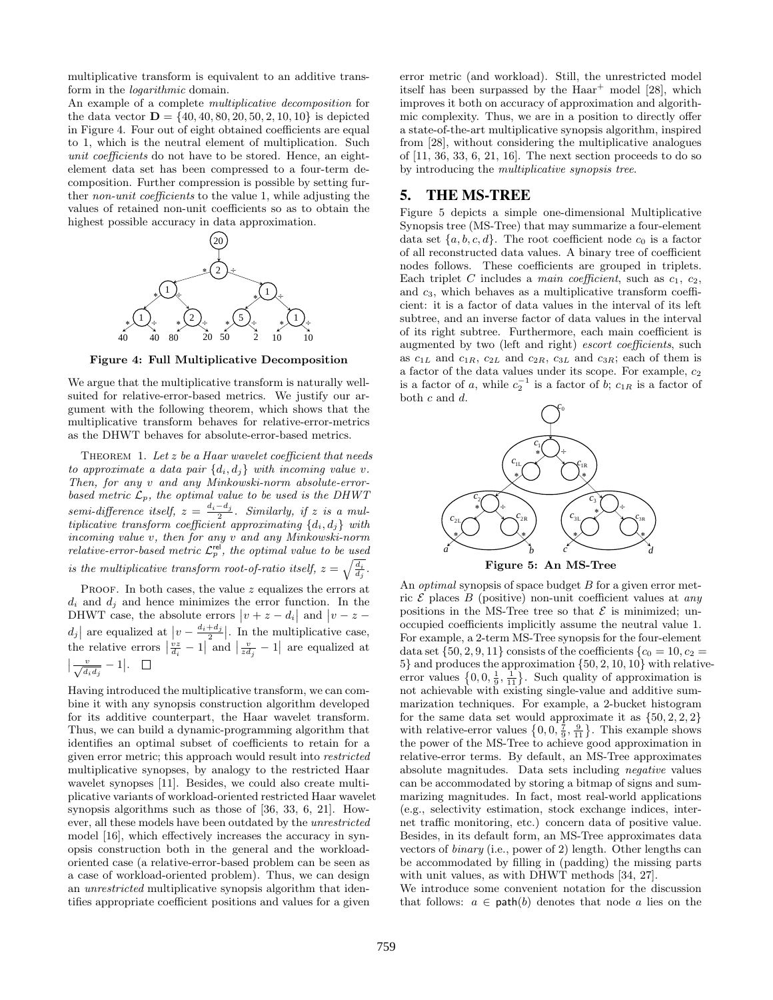multiplicative transform is equivalent to an additive transform in the logarithmic domain.

An example of a complete multiplicative decomposition for the data vector  $\mathbf{D} = \{40, 40, 80, 20, 50, 2, 10, 10\}$  is depicted in Figure 4. Four out of eight obtained coefficients are equal to 1, which is the neutral element of multiplication. Such unit coefficients do not have to be stored. Hence, an eightelement data set has been compressed to a four-term decomposition. Further compression is possible by setting further non-unit coefficients to the value 1, while adjusting the values of retained non-unit coefficients so as to obtain the highest possible accuracy in data approximation.



Figure 4: Full Multiplicative Decomposition

We argue that the multiplicative transform is naturally wellsuited for relative-error-based metrics. We justify our argument with the following theorem, which shows that the multiplicative transform behaves for relative-error-metrics as the DHWT behaves for absolute-error-based metrics.

THEOREM 1. Let  $z$  be a Haar wavelet coefficient that needs to approximate a data pair  $\{d_i, d_j\}$  with incoming value v. Then, for any v and any Minkowski-norm absolute-errorbased metric  $\mathcal{L}_p$ , the optimal value to be used is the DHWT semi-difference itself,  $z = \frac{d_i - d_j}{2}$ . Similarly, if z is a multiplicative transform coefficient approximating  $\{d_i, d_j\}$  with incoming value v, then for any v and any Minkowski-norm relative-error-based metric  $\mathcal{L}_p^{\text{rel}}$ , the optimal value to be used is the multiplicative transform root-of-ratio itself,  $z = \sqrt{\frac{d_i}{d_j}}$ .

PROOF. In both cases, the value  $z$  equalizes the errors at  $d_i$  and  $d_j$  and hence minimizes the error function. In the DHWT case, the absolute errors  $|v + z - d_i|$  and  $|v - z - d_i|$  $d_j$  are equalized at  $\left|v - \frac{d_i + d_j}{2}\right|$ . In the multiplicative case,<br>the relative errors  $\left|\frac{vz}{d_i} - 1\right|$  and  $\left|\frac{v}{z d_j} - 1\right|$  are equalized at  $\left| \frac{v}{\sqrt{d_i d_j}} - 1 \right|.$ 

Having introduced the multiplicative transform, we can combine it with any synopsis construction algorithm developed for its additive counterpart, the Haar wavelet transform. Thus, we can build a dynamic-programming algorithm that identifies an optimal subset of coefficients to retain for a given error metric; this approach would result into restricted multiplicative synopses, by analogy to the restricted Haar wavelet synopses [11]. Besides, we could also create multiplicative variants of workload-oriented restricted Haar wavelet synopsis algorithms such as those of [36, 33, 6, 21]. However, all these models have been outdated by the unrestricted model [16], which effectively increases the accuracy in synopsis construction both in the general and the workloadoriented case (a relative-error-based problem can be seen as a case of workload-oriented problem). Thus, we can design an unrestricted multiplicative synopsis algorithm that identifies appropriate coefficient positions and values for a given

error metric (and workload). Still, the unrestricted model itself has been surpassed by the  $Haar^+$  model [28], which improves it both on accuracy of approximation and algorithmic complexity. Thus, we are in a position to directly offer a state-of-the-art multiplicative synopsis algorithm, inspired from [28], without considering the multiplicative analogues of [11, 36, 33, 6, 21, 16]. The next section proceeds to do so by introducing the multiplicative synopsis tree.

## 5. THE MS-TREE

Figure 5 depicts a simple one-dimensional Multiplicative Synopsis tree (MS-Tree) that may summarize a four-element data set  $\{a, b, c, d\}$ . The root coefficient node  $c_0$  is a factor of all reconstructed data values. A binary tree of coefficient nodes follows. These coefficients are grouped in triplets. Each triplet C includes a main coefficient, such as  $c_1$ ,  $c_2$ , and  $c_3$ , which behaves as a multiplicative transform coefficient: it is a factor of data values in the interval of its left subtree, and an inverse factor of data values in the interval of its right subtree. Furthermore, each main coefficient is augmented by two (left and right) escort coefficients, such as  $c_{1L}$  and  $c_{1R}$ ,  $c_{2L}$  and  $c_{2R}$ ,  $c_{3L}$  and  $c_{3R}$ ; each of them is a factor of the data values under its scope. For example,  $c_2$ is a factor of a, while  $c_2^{-1}$  is a factor of b;  $c_{1R}$  is a factor of both c and d.



Figure 5: An MS-Tree

An *optimal* synopsis of space budget B for a given error metric  $\mathcal E$  places  $B$  (positive) non-unit coefficient values at any positions in the MS-Tree tree so that  $\mathcal E$  is minimized; unoccupied coefficients implicitly assume the neutral value 1. For example, a 2-term MS-Tree synopsis for the four-element data set  $\{50, 2, 9, 11\}$  consists of the coefficients  $\{c_0 = 10, c_2 =$ 5} and produces the approximation {50, 2, 10, 10} with relativeerror values  $\{0, 0, \frac{1}{9}, \frac{1}{11}\}$ . Such quality of approximation is not achievable with existing single-value and additive summarization techniques. For example, a 2-bucket histogram for the same data set would approximate it as  $\{50, 2, 2, 2\}$ with relative-error values  $\{0, 0, \frac{7}{9}, \frac{9}{11}\}\$ . This example shows the power of the MS-Tree to achieve good approximation in relative-error terms. By default, an MS-Tree approximates absolute magnitudes. Data sets including negative values can be accommodated by storing a bitmap of signs and summarizing magnitudes. In fact, most real-world applications (e.g., selectivity estimation, stock exchange indices, internet traffic monitoring, etc.) concern data of positive value. Besides, in its default form, an MS-Tree approximates data vectors of binary (i.e., power of 2) length. Other lengths can be accommodated by filling in (padding) the missing parts with unit values, as with DHWT methods [34, 27].

We introduce some convenient notation for the discussion that follows:  $a \in \text{path}(b)$  denotes that node a lies on the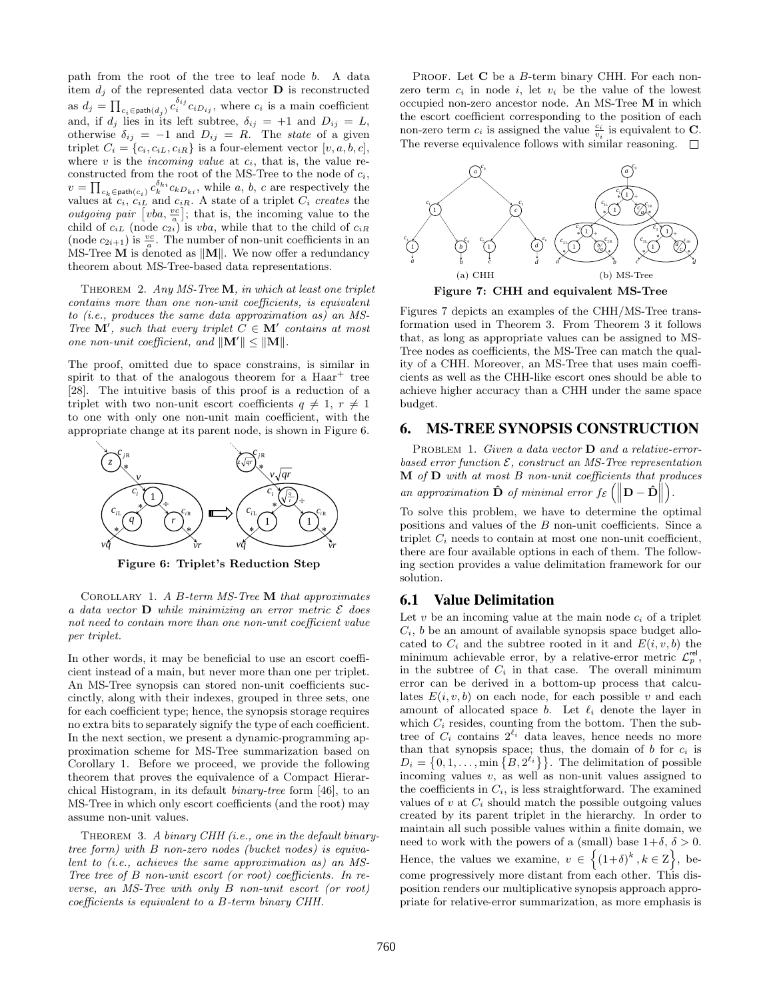path from the root of the tree to leaf node b. A data item  $d_i$  of the represented data vector **D** is reconstructed as  $d_j = \prod_{c_i \in \text{path}(d_j)} c_i^{\delta_{ij}} c_i D_{ij}$ , where  $c_i$  is a main coefficient and, if  $d_j$  lies in its left subtree,  $\delta_{ij} = +1$  and  $D_{ij} = L$ , otherwise  $\delta_{ij} = -1$  and  $D_{ij} = R$ . The state of a given triplet  $C_i = \{c_i, c_{iL}, c_{iR}\}\$ is a four-element vector  $[v, a, b, c],$ where  $v$  is the *incoming value* at  $c_i$ , that is, the value reconstructed from the root of the MS-Tree to the node of  $c_i$ ,  $v = \prod_{c_k \in \text{path}(c_i)} c_k^{\delta_{ki}} c_k D_{ki}, \text{ while } a, b, c \text{ are respectively the}$ values at  $c_i$ ,  $c_{iL}$  and  $c_{iR}$ . A state of a triplet  $C_i$  creates the *outgoing pair*  $[uba, \frac{vc}{a}]$ ; that is, the incoming value to the child of  $c_{iL}$  (node  $c_{2i}$ ) is vba, while that to the child of  $c_{iR}$ (node  $c_{2i+1}$ ) is  $\frac{vc}{a}$ . The number of non-unit coefficients in an MS-Tree  $M$  is denoted as  $||M||$ . We now offer a redundancy theorem about MS-Tree-based data representations.

THEOREM 2. Any  $MS$ -Tree **M**, in which at least one triplet contains more than one non-unit coefficients, is equivalent to (i.e., produces the same data approximation as) an MS-Tree  $\mathbf{M}'$ , such that every triplet  $C \in \mathbf{M}'$  contains at most one non-unit coefficient, and  $\|\mathbf{M}'\| \leq \|\mathbf{M}\|$ .

The proof, omitted due to space constrains, is similar in spirit to that of the analogous theorem for a  $Haar^+$  tree [28]. The intuitive basis of this proof is a reduction of a triplet with two non-unit escort coefficients  $q \neq 1, r \neq 1$ to one with only one non-unit main coefficient, with the appropriate change at its parent node, is shown in Figure 6.



Figure 6: Triplet's Reduction Step

COROLLARY 1. A B-term  $MS$ -Tree M that approximates a data vector  $\bf{D}$  while minimizing an error metric  $\mathcal E$  does not need to contain more than one non-unit coefficient value per triplet.

In other words, it may be beneficial to use an escort coefficient instead of a main, but never more than one per triplet. An MS-Tree synopsis can stored non-unit coefficients succinctly, along with their indexes, grouped in three sets, one for each coefficient type; hence, the synopsis storage requires no extra bits to separately signify the type of each coefficient. In the next section, we present a dynamic-programming approximation scheme for MS-Tree summarization based on Corollary 1. Before we proceed, we provide the following theorem that proves the equivalence of a Compact Hierarchical Histogram, in its default binary-tree form [46], to an MS-Tree in which only escort coefficients (and the root) may assume non-unit values.

THEOREM 3. A binary CHH (i.e., one in the default binarytree form) with B non-zero nodes (bucket nodes) is equivalent to (i.e., achieves the same approximation as) an MS-Tree tree of B non-unit escort (or root) coefficients. In reverse, an MS-Tree with only B non-unit escort (or root) coefficients is equivalent to a B-term binary CHH.

PROOF. Let C be a B-term binary CHH. For each nonzero term  $c_i$  in node i, let  $v_i$  be the value of the lowest occupied non-zero ancestor node. An MS-Tree M in which the escort coefficient corresponding to the position of each non-zero term  $c_i$  is assigned the value  $\frac{c_i}{v_i}$  is equivalent to **C**. The reverse equivalence follows with similar reasoning.  $\Box$ 



Figures 7 depicts an examples of the CHH/MS-Tree transformation used in Theorem 3. From Theorem 3 it follows that, as long as appropriate values can be assigned to MS-Tree nodes as coefficients, the MS-Tree can match the quality of a CHH. Moreover, an MS-Tree that uses main coefficients as well as the CHH-like escort ones should be able to achieve higher accuracy than a CHH under the same space budget.

#### 6. MS-TREE SYNOPSIS CONSTRUCTION

PROBLEM 1. Given a data vector  $D$  and a relative-errorbased error function  $\mathcal{E}$ , construct an MS-Tree representation  $M$  of  $D$  with at most  $B$  non-unit coefficients that produces an approximation  $\hat{\mathbf{D}}$  of minimal error  $f_{\mathcal{E}}\left(\left\|\mathbf{D}-\hat{\mathbf{D}}\right\|$ .

To solve this problem, we have to determine the optimal positions and values of the B non-unit coefficients. Since a triplet  $C_i$  needs to contain at most one non-unit coefficient, there are four available options in each of them. The following section provides a value delimitation framework for our solution.

## 6.1 Value Delimitation

Let  $v$  be an incoming value at the main node  $c_i$  of a triplet  $C_i$ , b be an amount of available synopsis space budget allocated to  $C_i$  and the subtree rooted in it and  $E(i, v, b)$  the minimum achievable error, by a relative-error metric  $\mathcal{L}_p^{\text{rel}}$ , in the subtree of  $C_i$  in that case. The overall minimum error can be derived in a bottom-up process that calculates  $E(i, v, b)$  on each node, for each possible v and each amount of allocated space b. Let  $\ell_i$  denote the layer in which  $C_i$  resides, counting from the bottom. Then the subtree of  $C_i$  contains  $2^{\ell_i}$  data leaves, hence needs no more than that synopsis space; thus, the domain of b for  $c_i$  is  $D_i = \{0, 1, \ldots, \min\{B, 2^{\ell_i}\}\}\.$  The delimitation of possible incoming values  $v$ , as well as non-unit values assigned to the coefficients in  $C_i$ , is less straightforward. The examined values of  $v$  at  $C_i$  should match the possible outgoing values created by its parent triplet in the hierarchy. In order to maintain all such possible values within a finite domain, we need to work with the powers of a (small) base  $1+\delta$ ,  $\delta > 0$ . Hence, the values we examine,  $v \in \{(1+\delta)^k, k \in \mathbb{Z}\}\,$ , become progressively more distant from each other. This disposition renders our multiplicative synopsis approach appropriate for relative-error summarization, as more emphasis is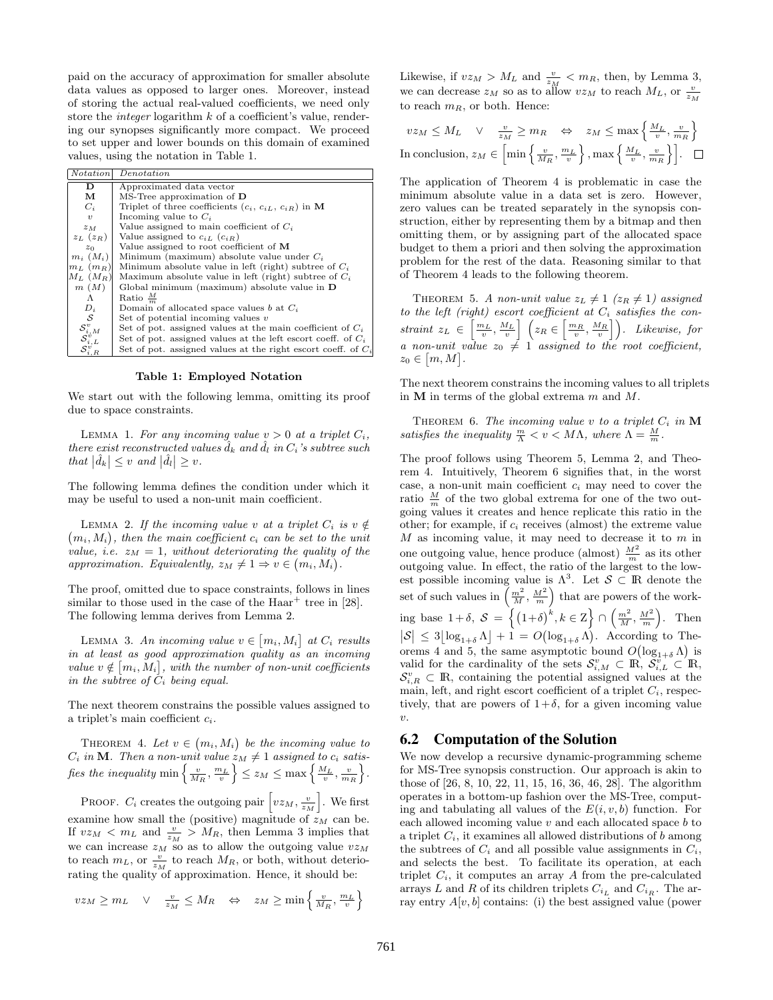paid on the accuracy of approximation for smaller absolute data values as opposed to larger ones. Moreover, instead of storing the actual real-valued coefficients, we need only store the *integer* logarithm  $k$  of a coefficient's value, rendering our synopses significantly more compact. We proceed to set upper and lower bounds on this domain of examined values, using the notation in Table 1.

| <b>Notation</b>                                                                      | Denotation                                                      |  |  |
|--------------------------------------------------------------------------------------|-----------------------------------------------------------------|--|--|
| D                                                                                    | Approximated data vector                                        |  |  |
| м                                                                                    | $MS$ -Tree approximation of $D$                                 |  |  |
| $C_i$                                                                                | Triplet of three coefficients $(c_i, c_{iL}, c_{iR})$ in M      |  |  |
| $\boldsymbol{v}$                                                                     | Incoming value to $C_i$                                         |  |  |
| $z_M$                                                                                | Value assigned to main coefficient of $C_i$                     |  |  |
| $z_L$ $(z_R)$                                                                        | Value assigned to $c_{iL}$ $(c_{iR})$                           |  |  |
| $z_0$                                                                                | Value assigned to root coefficient of M                         |  |  |
| $m_i$ $(M_i)$                                                                        | Minimum (maximum) absolute value under $C_i$                    |  |  |
| $m_L$ $(m_R)$                                                                        | Minimum absolute value in left (right) subtree of $C_i$         |  |  |
| $M_L$ $(M_R)$                                                                        | Maximum absolute value in left (right) subtree of $C_i$         |  |  |
| m(M)                                                                                 | Global minimum (maximum) absolute value in $D$                  |  |  |
| Λ                                                                                    | Ratio $\frac{M}{2}$                                             |  |  |
| $D_i$                                                                                | Domain of allocated space values b at $C_i$                     |  |  |
| S                                                                                    | Set of potential incoming values $v$                            |  |  |
|                                                                                      | Set of pot. assigned values at the main coefficient of $C_i$    |  |  |
|                                                                                      | Set of pot. assigned values at the left escort coeff. of $C_i$  |  |  |
| $\substack{ {\mathcal{S}_{i,M}^v}\\ {\mathcal{S}_{i,L}^v}\\ {\mathcal{S}_{i,R}^v} }$ | Set of pot. assigned values at the right escort coeff. of $C_i$ |  |  |

Table 1: Employed Notation

We start out with the following lemma, omitting its proof due to space constraints.

LEMMA 1. For any incoming value  $v > 0$  at a triplet  $C_i$ , there exist reconstructed values  $\ddot{d}_k$  and  $\ddot{d}_l$  in  $C_i$ 's subtree such that  $|\hat{d}_k| \leq v$  and  $|\hat{d}_l| \geq v$ .

The following lemma defines the condition under which it may be useful to used a non-unit main coefficient.

LEMMA 2. If the incoming value v at a triplet  $C_i$  is  $v \notin$  $(m_i, M_i)$ , then the main coefficient  $c_i$  can be set to the unit value, i.e.  $z_M = 1$ , without deteriorating the quality of the approximation. Equivalently,  $z_M \neq 1 \Rightarrow v \in (m_i, M_i)$ .

The proof, omitted due to space constraints, follows in lines similar to those used in the case of the  $Haar^+$  tree in [28]. The following lemma derives from Lemma 2.

LEMMA 3. An incoming value  $v \in [m_i, M_i]$  at  $C_i$  results in at least as good approximation quality as an incoming value  $v \notin [m_i, M_i]$ , with the number of non-unit coefficients in the subtree of  $C_i$  being equal.

The next theorem constrains the possible values assigned to a triplet's main coefficient  $c_i$ .

THEOREM 4. Let  $v \in (m_i, M_i)$  be the incoming value to  $C_i$  in **M**. Then a non-unit value  $z_M \neq 1$  assigned to  $c_i$  satisfies the inequality  $\min\left\{\frac{v}{M_R}, \frac{m_L}{v}\right\} \le z_M \le \max\left\{\frac{M_L}{v}, \frac{v}{m_R}\right\}.$ 

PROOF.  $C_i$  creates the outgoing pair  $\left[vz_M, \frac{v}{z_M}\right]$ . We first examine how small the (positive) magnitude of  $z_M$  can be. If  $vz_M < m_L$  and  $\frac{v}{z_M} > M_R$ , then Lemma 3 implies that we can increase  $z_M$  so as to allow the outgoing value  $vz_M$ to reach  $m_L$ , or  $\frac{v}{z_M}$  to reach  $M_R$ , or both, without deteriorating the quality of approximation. Hence, it should be:

$$
v z_M \ge m_L \quad \lor \quad \frac{v}{z_M} \le M_R \quad \Leftrightarrow \quad z_M \ge \min\left\{\frac{v}{M_R}, \frac{m_L}{v}\right\}
$$

Likewise, if  $vz_M > M_L$  and  $\frac{v}{z_M} < m_R$ , then, by Lemma 3, we can decrease  $z_M$  so as to allow  $vz_M$  to reach  $M_L$ , or  $\frac{v}{z_M}$ to reach  $m_R$ , or both. Hence:

$$
vz_M \le M_L \quad \lor \quad \frac{v}{z_M} \ge m_R \quad \Leftrightarrow \quad z_M \le \max\left\{\frac{M_L}{v}, \frac{v}{m_R}\right\}
$$
  
In conclusion,  $z_M \in \left[\min\left\{\frac{v}{M_R}, \frac{m_L}{v}\right\}, \max\left\{\frac{M_L}{v}, \frac{v}{m_R}\right\}\right]. \quad \Box$ 

The application of Theorem 4 is problematic in case the minimum absolute value in a data set is zero. However, zero values can be treated separately in the synopsis construction, either by representing them by a bitmap and then omitting them, or by assigning part of the allocated space budget to them a priori and then solving the approximation problem for the rest of the data. Reasoning similar to that of Theorem 4 leads to the following theorem.

THEOREM 5. A non-unit value  $z_L \neq 1$  ( $z_R \neq 1$ ) assigned to the left (right) escort coefficient at  $C_i$  satisfies the constraint  $z_L \in \left[\frac{m_L}{v}, \frac{M_L}{v}\right]$   $\left(z_R \in \left[\frac{m_R}{v}, \frac{M_R}{v}\right]\right)$ . Likewise, for a non-unit value  $z_0 \neq 1$  assigned to the root coefficient,  $z_0 \in [m, M].$ 

The next theorem constrains the incoming values to all triplets in  $M$  in terms of the global extrema  $m$  and  $M$ .

THEOREM 6. The incoming value v to a triplet  $C_i$  in  $M$ satisfies the inequality  $\frac{m}{\Lambda} < v < M\Lambda$ , where  $\Lambda = \frac{M}{m}$ .

The proof follows using Theorem 5, Lemma 2, and Theorem 4. Intuitively, Theorem 6 signifies that, in the worst case, a non-unit main coefficient  $c_i$  may need to cover the ratio  $\frac{M}{m}$  of the two global extrema for one of the two outgoing values it creates and hence replicate this ratio in the other; for example, if  $c_i$  receives (almost) the extreme value  $M$  as incoming value, it may need to decrease it to  $m$  in one outgoing value, hence produce (almost)  $\frac{M^2}{m}$  as its other outgoing value. In effect, the ratio of the largest to the lowest possible incoming value is  $\Lambda^3$ . Let  $\mathcal{S} \subset \mathbb{R}$  denote the set of such values in  $\left(\frac{m^2}{M}, \frac{M^2}{m}\right)$  that are powers of the working base  $1+\delta$ ,  $\mathcal{S} = \left\{ (1+\delta)^k, k \in \mathbb{Z} \right\} \cap \left( \frac{m^2}{M}, \frac{M^2}{m} \right)$ . Then  $|S| \leq 3 \lfloor \log_{1+\delta} \Lambda \rfloor + 1 = O(\log_{1+\delta} \Lambda)$ . According to Theorems 4 and 5, the same asymptotic bound  $O(\log_{1+\delta} \Lambda)$  is valid for the cardinality of the sets  $\mathcal{S}_{i,M}^v \subset \mathbb{R}, \ \mathcal{S}_{i,L}^v \subset \mathbb{R},$  $\mathcal{S}_{i,R}^v \subset \mathbb{R}$ , containing the potential assigned values at the main, left, and right escort coefficient of a triplet  $C_i$ , respectively, that are powers of  $1+\delta$ , for a given incoming value  $\upsilon$ .

## 6.2 Computation of the Solution

We now develop a recursive dynamic-programming scheme for MS-Tree synopsis construction. Our approach is akin to those of [26, 8, 10, 22, 11, 15, 16, 36, 46, 28]. The algorithm operates in a bottom-up fashion over the MS-Tree, computing and tabulating all values of the  $E(i, v, b)$  function. For each allowed incoming value  $v$  and each allocated space  $b$  to a triplet  $C_i$ , it examines all allowed distributions of b among the subtrees of  $C_i$  and all possible value assignments in  $C_i$ , and selects the best. To facilitate its operation, at each triplet  $C_i$ , it computes an array A from the pre-calculated arrays L and R of its children triplets  $C_{i_L}$  and  $C_{i_R}$ . The array entry  $A[v, b]$  contains: (i) the best assigned value (power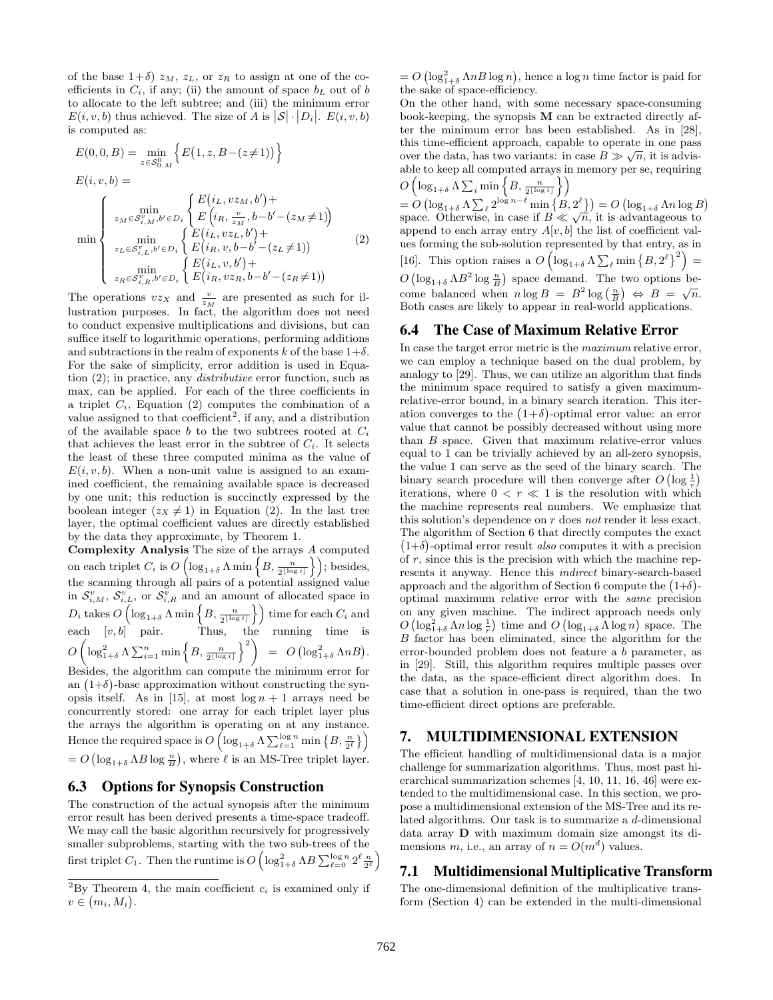of the base  $1+\delta$ )  $z_M$ ,  $z_L$ , or  $z_R$  to assign at one of the coefficients in  $C_i$ , if any; (ii) the amount of space  $b<sub>L</sub>$  out of b to allocate to the left subtree; and (iii) the minimum error  $E(i, v, b)$  thus achieved. The size of A is  $|S| \cdot |D_i|$ .  $E(i, v, b)$ is computed as:

$$
E(0,0,B) = \min_{z \in S_{0,M}^{0}} \left\{ E(1,z,B-(z\neq 1)) \right\}
$$
  
\n
$$
E(i, v, b) = \min_{z_M \in S_{i,M}^{v}, b' \in D_i} \left\{ E(i_L, v z_M, b') + \sum_{z_M \in S_{i,M}^{v}, b' \in D_i} \left\{ E(i_R, \frac{v}{z_M}, b-b'-(z_M \neq 1)) \right\}
$$
  
\n
$$
\min_{z_L \in S_{i,L}^{v}, b' \in D_i} \left\{ E(i_L, v z_L, b') + \sum_{z_R \in S_{i,R}^{v}, b' \in D_i} \left\{ E(i_L, v, b') + \right\}
$$
  
\n
$$
\min_{z_R \in S_{i,R}^{v}, b' \in D_i} \left\{ E(i_L, v, b') + \right\}
$$
  
\n
$$
E(i_L, v, b') + \sum_{z_R \in S_{i,R}^{v}, b' \in D_i} \left\{ E(i_R, v z_R, b-b'-(z_R \neq 1)) \right\}
$$
 (2)

The operations  $vz_X$  and  $\frac{v}{z_M}$  are presented as such for illustration purposes. In fact, the algorithm does not need to conduct expensive multiplications and divisions, but can suffice itself to logarithmic operations, performing additions and subtractions in the realm of exponents k of the base  $1+\delta$ . For the sake of simplicity, error addition is used in Equation (2); in practice, any distributive error function, such as max, can be applied. For each of the three coefficients in a triplet  $C_i$ , Equation (2) computes the combination of a value assigned to that  $\text{coefficient}^2$ , if any, and a distribution of the available space  $b$  to the two subtrees rooted at  $C_i$ that achieves the least error in the subtree of  $C_i$ . It selects the least of these three computed minima as the value of  $E(i, v, b)$ . When a non-unit value is assigned to an examined coefficient, the remaining available space is decreased by one unit; this reduction is succinctly expressed by the boolean integer  $(z_X \neq 1)$  in Equation (2). In the last tree layer, the optimal coefficient values are directly established by the data they approximate, by Theorem 1.

Complexity Analysis The size of the arrays A computed on each triplet  $C_i$  is  $O\left(\log_{1+\delta} \Lambda \min\left\{B, \frac{n}{2^{\lfloor \log i \rfloor}}\right\}\right)$ ; besides, the scanning through all pairs of a potential assigned value in  $S_{i,M}^v$ ,  $S_{i,L}^v$ , or  $S_{i,R}^v$  and an amount of allocated space in  $D_i \text{ takes } O\left(\log_{1+\delta} \Lambda \min\left\{B, \frac{n}{2^{\lfloor \log i \rfloor}}\right\}\right) \text{ time for each } C_i \text{ and }$ each  $[v, b]$  pair. Thus, the running time is  $O\left(\log_{1+\delta}^2\Lambda\sum_{i=1}^n\min\left\{B,\frac{n}{2^{\lfloor\log i\rfloor}}\right\}^2\right) \;\;=\;\; O\left(\log_{1+\delta}^2\Lambda n B\right).$ Besides, the algorithm can compute the minimum error for an  $(1+\delta)$ -base approximation without constructing the synopsis itself. As in [15], at most  $\log n + 1$  arrays need be concurrently stored: one array for each triplet layer plus the arrays the algorithm is operating on at any instance. Hence the required space is  $O\left(\log_{1+\delta}\Lambda \sum_{\ell=1}^{\log n}\min\left\{B,\frac{n}{2^\ell}\right\}\right)$ 

 $= O\left(\log_{1+\delta} \Lambda B \log \frac{n}{B}\right)$ , where  $\ell$  is an MS-Tree triplet layer.

#### 6.3 Options for Synopsis Construction

The construction of the actual synopsis after the minimum error result has been derived presents a time-space tradeoff. We may call the basic algorithm recursively for progressively smaller subproblems, starting with the two sub-trees of the first triplet  $C_1$ . Then the runtime is  $O\left(\log_{1+\delta}^2 \Lambda B \sum_{\ell=0}^{\log n} 2^{\ell} \frac{n}{2^{\ell}}\right)$ 

 $= O\left(\log_{1+\delta}^2 \Lambda n B \log n\right)$ , hence a log n time factor is paid for the sake of space-efficiency.

On the other hand, with some necessary space-consuming book-keeping, the synopsis M can be extracted directly after the minimum error has been established. As in [28], this time-efficient approach, capable to operate in one pass √ over the data, has two variants: in case  $B \gg \sqrt{n}$ , it is advisable to keep all computed arrays in memory per se, requiring

 $O\left(\log_{1+\delta}\Lambda \sum_i \min\left\{B, \frac{n}{2^{\lfloor\log i\rfloor}}\right\}\right)$  $= O\left(\log_{1+\delta} Λ ∑_ℓ^{2^{\log n-\ell}}\min\left\{B,2^{\ell}\right\}\right) = O\left(\log_{1+\delta} Λn\log B\right)$ =  $O(\log_{1+\delta} N \sum_{\ell} Z^{\ell})$  min  $\{D, Z\}$  =  $O(\log_{1+\delta} Nn \log E)$ <br>space. Otherwise, in case if  $B \ll \sqrt{n}$ , it is advantageous to append to each array entry  $A[v, b]$  the list of coefficient values forming the sub-solution represented by that entry, as in [16]. This option raises a  $O\left(\log_{1+\delta} \Lambda \sum_{\ell} \min \left\{B, 2^{\ell}\right\}^2\right)$  =  $O\left(\log_{1+\delta} \Lambda B^2 \log \frac{n}{B}\right)$  space demand. The two options become balanced when  $n \log B = B^2 \log(\frac{n}{B}) \Leftrightarrow B = \sqrt{n}$ . Both cases are likely to appear in real-world applications.

#### 6.4 The Case of Maximum Relative Error

In case the target error metric is the *maximum* relative error, we can employ a technique based on the dual problem, by analogy to [29]. Thus, we can utilize an algorithm that finds the minimum space required to satisfy a given maximumrelative-error bound, in a binary search iteration. This iteration converges to the  $(1+\delta)$ -optimal error value: an error value that cannot be possibly decreased without using more than B space. Given that maximum relative-error values equal to 1 can be trivially achieved by an all-zero synopsis, the value 1 can serve as the seed of the binary search. The binary search procedure will then converge after  $O\left(\log \frac{1}{r}\right)$ iterations, where  $0 < r \ll 1$  is the resolution with which the machine represents real numbers. We emphasize that this solution's dependence on  $r$  does not render it less exact. The algorithm of Section 6 that directly computes the exact  $(1+\delta)$ -optimal error result also computes it with a precision of  $r$ , since this is the precision with which the machine represents it anyway. Hence this indirect binary-search-based approach and the algorithm of Section 6 compute the  $(1+\delta)$ optimal maximum relative error with the same precision on any given machine. The indirect approach needs only  $O\left(\log_{1+\delta}^2 \Lambda n \log \frac{1}{r}\right)$  time and  $O\left(\log_{1+\delta} \Lambda \log n\right)$  space. The B factor has been eliminated, since the algorithm for the error-bounded problem does not feature a b parameter, as in [29]. Still, this algorithm requires multiple passes over the data, as the space-efficient direct algorithm does. In case that a solution in one-pass is required, than the two time-efficient direct options are preferable.

#### 7. MULTIDIMENSIONAL EXTENSION

The efficient handling of multidimensional data is a major challenge for summarization algorithms. Thus, most past hierarchical summarization schemes [4, 10, 11, 16, 46] were extended to the multidimensional case. In this section, we propose a multidimensional extension of the MS-Tree and its related algorithms. Our task is to summarize a d-dimensional data array D with maximum domain size amongst its dimensions m, i.e., an array of  $n = O(m^d)$  values.

## 7.1 Multidimensional Multiplicative Transform

The one-dimensional definition of the multiplicative transform (Section 4) can be extended in the multi-dimensional

<sup>&</sup>lt;sup>2</sup>By Theorem 4, the main coefficient  $c_i$  is examined only if  $v \in (m_i, M_i).$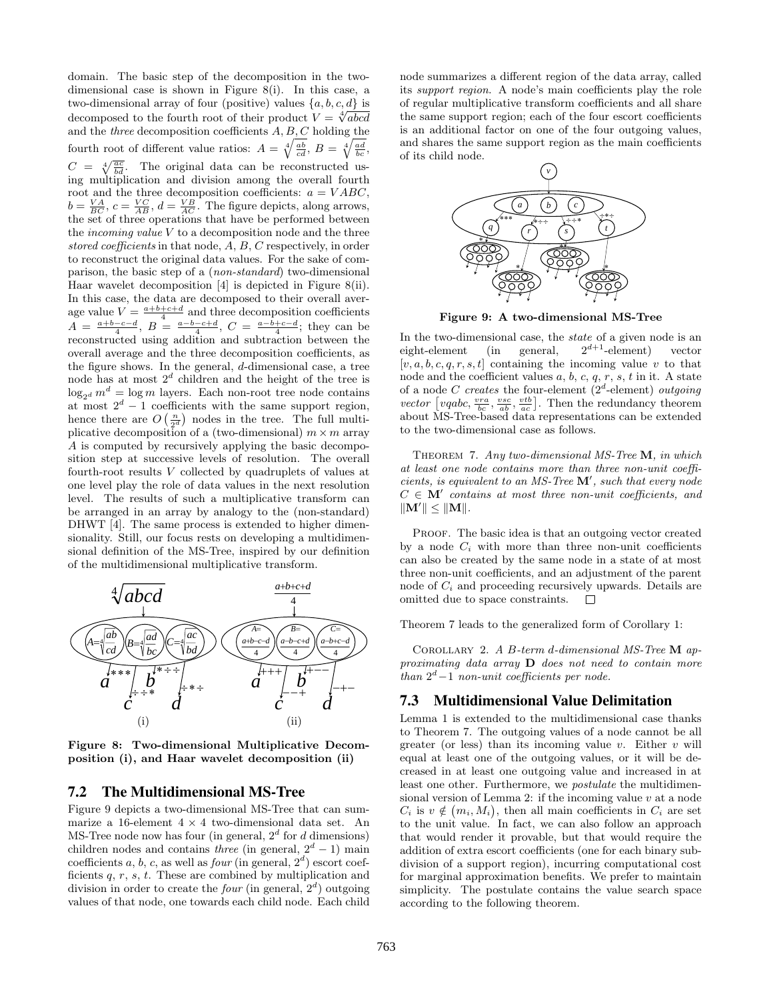domain. The basic step of the decomposition in the twodimensional case is shown in Figure 8(i). In this case, a two-dimensional array of four (positive) values  $\{a, b, c, d\}$  is two-dimensional array of four (positive) values  $\{a, b, c, a\}$  is<br>decomposed to the fourth root of their product  $V = \sqrt[4]{abcd}$ and the three decomposition coefficients  $A, B, C$  holding the fourth root of different value ratios:  $A = \sqrt[4]{\frac{ab}{cd}}$ ,  $B = \sqrt[4]{\frac{ad}{bc}}$ ,  $C = \sqrt[4]{\frac{ac}{bd}}$ . The original data can be reconstructed using multiplication and division among the overall fourth root and the three decomposition coefficients:  $a = VABC$ ,  $b = \frac{VA}{BC}$ ,  $c = \frac{VC}{AB}$ ,  $d = \frac{VB}{AC}$ . The figure depicts, along arrows, the set of three operations that have be performed between the *incoming value*  $V$  to a decomposition node and the three stored coefficients in that node, A, B, C respectively, in order to reconstruct the original data values. For the sake of comparison, the basic step of a (non-standard) two-dimensional Haar wavelet decomposition [4] is depicted in Figure 8(ii). In this case, the data are decomposed to their overall average value  $V = \frac{a+b+c+d}{4}$  and three decomposition coefficients  $A = \frac{a+b-c-d}{4}, B = \frac{a-b-c+d}{4}, C = \frac{a-b+c-d}{4}$ ; they can be reconstructed using addition and subtraction between the overall average and the three decomposition coefficients, as the figure shows. In the general, d-dimensional case, a tree node has at most  $2^d$  children and the height of the tree is  $\log_{2d} m^d = \log m$  layers. Each non-root tree node contains at most  $2^d - 1$  coefficients with the same support region, hence there are  $O\left(\frac{n}{2^d}\right)$  nodes in the tree. The full multiplicative decomposition of a (two-dimensional)  $m \times m$  array A is computed by recursively applying the basic decomposition step at successive levels of resolution. The overall fourth-root results V collected by quadruplets of values at one level play the role of data values in the next resolution level. The results of such a multiplicative transform can be arranged in an array by analogy to the (non-standard) DHWT [4]. The same process is extended to higher dimensionality. Still, our focus rests on developing a multidimensional definition of the MS-Tree, inspired by our definition of the multidimensional multiplicative transform.



Figure 8: Two-dimensional Multiplicative Decomposition (i), and Haar wavelet decomposition (ii)

#### 7.2 The Multidimensional MS-Tree

Figure 9 depicts a two-dimensional MS-Tree that can summarize a 16-element  $4 \times 4$  two-dimensional data set. An MS-Tree node now has four (in general,  $2<sup>d</sup>$  for d dimensions) children nodes and contains *three* (in general,  $2^d - 1$ ) main coefficients a, b, c, as well as  $four$  (in general,  $2<sup>d</sup>$ ) escort coefficients  $q, r, s, t$ . These are combined by multiplication and division in order to create the *four* (in general,  $2<sup>d</sup>$ ) outgoing values of that node, one towards each child node. Each child

node summarizes a different region of the data array, called its support region. A node's main coefficients play the role of regular multiplicative transform coefficients and all share the same support region; each of the four escort coefficients is an additional factor on one of the four outgoing values, and shares the same support region as the main coefficients of its child node.



Figure 9: A two-dimensional MS-Tree

In the two-dimensional case, the *state* of a given node is an eight-element (in general,  $2^{d+1}$ -element) vector  $[v, a, b, c, q, r, s, t]$  containing the incoming value v to that node and the coefficient values  $a, b, c, q, r, s, t$  in it. A state of a node C creates the four-element  $(2^d$ -element) outgoing vector  $\left[ vqabc, \frac{vra}{bc}, \frac{vsc}{ab}, \frac{vtb}{ac} \right]$ . Then the redundancy theorem about MS-Tree-based data representations can be extended to the two-dimensional case as follows.

THEOREM 7. Any two-dimensional MS-Tree M, in which at least one node contains more than three non-unit coefficients, is equivalent to an MS-Tree  $M'$ , such that every node  $C \in M'$  contains at most three non-unit coefficients, and  $\|\mathbf{M}'\| \leq \|\mathbf{M}\|.$ 

PROOF. The basic idea is that an outgoing vector created by a node  $C_i$  with more than three non-unit coefficients can also be created by the same node in a state of at most three non-unit coefficients, and an adjustment of the parent node of  $C_i$  and proceeding recursively upwards. Details are omitted due to space constraints.  $\Box$ 

Theorem 7 leads to the generalized form of Corollary 1:

Corollary 2. A B-term d-dimensional MS-Tree M approximating data array  $\bf{D}$  does not need to contain more than  $2^d-1$  non-unit coefficients per node.

#### 7.3 Multidimensional Value Delimitation

Lemma 1 is extended to the multidimensional case thanks to Theorem 7. The outgoing values of a node cannot be all greater (or less) than its incoming value  $v$ . Either  $v$  will equal at least one of the outgoing values, or it will be decreased in at least one outgoing value and increased in at least one other. Furthermore, we postulate the multidimensional version of Lemma 2: if the incoming value  $v$  at a node  $C_i$  is  $v \notin (m_i, M_i)$ , then all main coefficients in  $C_i$  are set to the unit value. In fact, we can also follow an approach that would render it provable, but that would require the addition of extra escort coefficients (one for each binary subdivision of a support region), incurring computational cost for marginal approximation benefits. We prefer to maintain simplicity. The postulate contains the value search space according to the following theorem.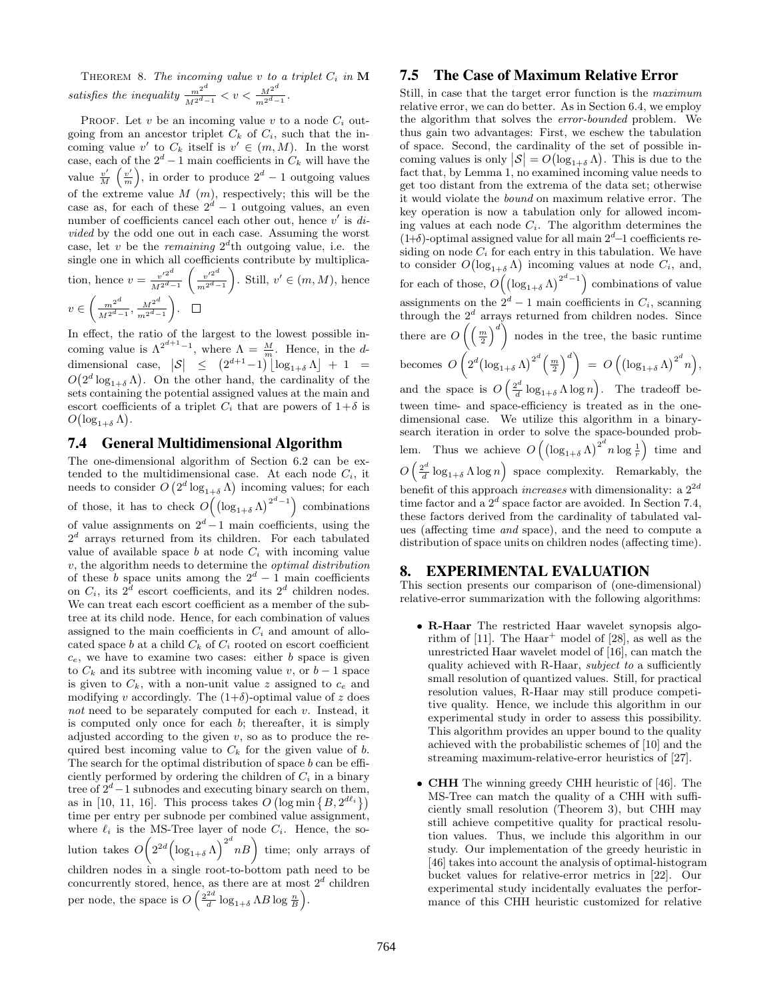THEOREM 8. The incoming value v to a triplet  $C_i$  in  $M$ satisfies the inequality  $\frac{m^{2d}}{M^{2d-1}} < v < \frac{M^{2d}}{m^{2d-1}}$  $\frac{M^2}{m^{2^d-1}}$ .

PROOF. Let  $v$  be an incoming value  $v$  to a node  $C_i$  outgoing from an ancestor triplet  $C_k$  of  $C_i$ , such that the incoming value v' to  $C_k$  itself is  $v' \in (m, M)$ . In the worst case, each of the  $2^d - 1$  main coefficients in  $C_k$  will have the value  $\frac{v'}{M}$  $\frac{v'}{M}$   $\left(\frac{v'}{m}\right)$  $\left(\frac{v'}{m}\right)$ , in order to produce  $2^d - 1$  outgoing values of the extreme value  $M(m)$ , respectively; this will be the case as, for each of these  $2^d - 1$  outgoing values, an even number of coefficients cancel each other out, hence  $v'$  is  $di$ vided by the odd one out in each case. Assuming the worst case, let v be the remaining  $2^d$ th outgoing value, i.e. the single one in which all coefficients contribute by multiplication, hence  $v = \frac{v'^{2^d}}{160}$  $M^{2^d-1}$  $\int v'^{2^d}$  $m^{2d-1}$ ). Still,  $v' \in (m, M)$ , hence  $v \in \left(\frac{m^{2^d}}{1\sigma^d}\right)$  $\frac{m^{2^d}}{M^{2^d-1}}, \frac{M^{2^d}}{m^{2^d-1}}$  $m^{2d}-1$ .

In effect, the ratio of the largest to the lowest possible incoming value is  $\Lambda^{2^{d+1}-1}$ , where  $\Lambda = \frac{M}{m}$ . Hence, in the ddimensional case,  $|S| \leq (2^{d+1}-1) \lfloor \log_{1+\delta} \Lambda \rfloor + 1 =$  $O(2^d \log_{1+\delta} \Lambda)$ . On the other hand, the cardinality of the sets containing the potential assigned values at the main and escort coefficients of a triplet  $C_i$  that are powers of  $1+\delta$  is  $O(\log_{1+\delta} \Lambda).$ 

## 7.4 General Multidimensional Algorithm

The one-dimensional algorithm of Section 6.2 can be extended to the multidimensional case. At each node  $C_i$ , it needs to consider  $O(2^d \log_{1+\delta} \Lambda)$  incoming values; for each of those, it has to check  $O((\log_{1+\delta} \Lambda)^{2^d-1})$  combinations of value assignments on  $2^d - 1$  main coefficients, using the  $2<sup>d</sup>$  arrays returned from its children. For each tabulated value of available space  $b$  at node  $C_i$  with incoming value  $v$ , the algorithm needs to determine the *optimal distribution* of these b space units among the  $2^d - 1$  main coefficients on  $C_i$ , its  $2^d$  escort coefficients, and its  $2^d$  children nodes. We can treat each escort coefficient as a member of the subtree at its child node. Hence, for each combination of values assigned to the main coefficients in  $C_i$  and amount of allocated space  $b$  at a child  $C_k$  of  $C_i$  rooted on escort coefficient  $c_e$ , we have to examine two cases: either  $b$  space is given to  $C_k$  and its subtree with incoming value v, or  $b-1$  space is given to  $C_k$ , with a non-unit value z assigned to  $c_e$  and modifying v accordingly. The  $(1+\delta)$ -optimal value of z does not need to be separately computed for each v. Instead, it is computed only once for each  $b$ ; thereafter, it is simply adjusted according to the given  $v$ , so as to produce the required best incoming value to  $C_k$  for the given value of b. The search for the optimal distribution of space  $b$  can be efficiently performed by ordering the children of  $C_i$  in a binary tree of  $2^d-1$  subnodes and executing binary search on them, as in [10, 11, 16]. This process takes  $O\left(\log \min\left\{B, 2^{d\ell_i}\right\}\right)$ time per entry per subnode per combined value assignment, where  $\ell_i$  is the MS-Tree layer of node  $C_i$ . Hence, the solution takes  $O\left(2^{2d}\left(\log_{1+\delta} \Lambda\right)^{2^d} nB\right)$  time; only arrays of children nodes in a single root-to-bottom path need to be concurrently stored, hence, as there are at most  $2^d$  children per node, the space is  $O\left(\frac{2^{2d}}{d}\right)$  $\frac{2d}{d} \log_{1+\delta} \Lambda B \log \frac{n}{B}$ .

## 7.5 The Case of Maximum Relative Error

Still, in case that the target error function is the maximum relative error, we can do better. As in Section 6.4, we employ the algorithm that solves the error-bounded problem. We thus gain two advantages: First, we eschew the tabulation of space. Second, the cardinality of the set of possible incoming values is only  $|\mathcal{S}| = O(\log_{1+\delta} \Lambda)$ . This is due to the fact that, by Lemma 1, no examined incoming value needs to get too distant from the extrema of the data set; otherwise it would violate the bound on maximum relative error. The key operation is now a tabulation only for allowed incoming values at each node  $C_i$ . The algorithm determines the  $(1+\delta)$ -optimal assigned value for all main  $2^d-1$  coefficients residing on node  $C_i$  for each entry in this tabulation. We have to consider  $O(\log_{1+\delta} \Lambda)$  incoming values at node  $C_i$ , and, for each of those,  $O((\log_{1+\delta} \Lambda)^{2^d-1})$  combinations of value assignments on the  $2^d - 1$  main coefficients in  $C_i$ , scanning through the  $2^d$  arrays returned from children nodes. Since there are  $O\left(\left(\frac{m}{2}\right)^d\right)$  nodes in the tree, the basic runtime becomes  $O\left(2^d\left(\log_{1+\delta}\Lambda\right)^{2^d}\left(\frac{m}{2}\right)^d\right) = O\left(\left(\log_{1+\delta}\Lambda\right)^{2^d}n\right),$ and the space is  $O\left(\frac{2^d}{d}\right)$  $\frac{d^{2}}{d} \log_{1+\delta} \Lambda \log n$ . The tradeoff between time- and space-efficiency is treated as in the onedimensional case. We utilize this algorithm in a binarysearch iteration in order to solve the space-bounded problem. Thus we achieve  $O\left(\left(\log_{1+\delta} \Lambda\right)^{2^d} n \log \frac{1}{r}\right)$  time and  $O\left(\frac{2^d}{d}\right)$  $\frac{d^d}{d} \log_{1+\delta} \Lambda \log n$  space complexity. Remarkably, the benefit of this approach *increases* with dimensionality: a  $2^{2d}$ time factor and a  $2^d$  space factor are avoided. In Section 7.4, these factors derived from the cardinality of tabulated values (affecting time and space), and the need to compute a distribution of space units on children nodes (affecting time).

## 8. EXPERIMENTAL EVALUATION

This section presents our comparison of (one-dimensional) relative-error summarization with the following algorithms:

- R-Haar The restricted Haar wavelet synopsis algorithm of  $[11]$ . The Haar<sup>+</sup> model of  $[28]$ , as well as the unrestricted Haar wavelet model of [16], can match the quality achieved with R-Haar, subject to a sufficiently small resolution of quantized values. Still, for practical resolution values, R-Haar may still produce competitive quality. Hence, we include this algorithm in our experimental study in order to assess this possibility. This algorithm provides an upper bound to the quality achieved with the probabilistic schemes of [10] and the streaming maximum-relative-error heuristics of [27].
- CHH The winning greedy CHH heuristic of [46]. The MS-Tree can match the quality of a CHH with sufficiently small resolution (Theorem 3), but CHH may still achieve competitive quality for practical resolution values. Thus, we include this algorithm in our study. Our implementation of the greedy heuristic in [46] takes into account the analysis of optimal-histogram bucket values for relative-error metrics in [22]. Our experimental study incidentally evaluates the performance of this CHH heuristic customized for relative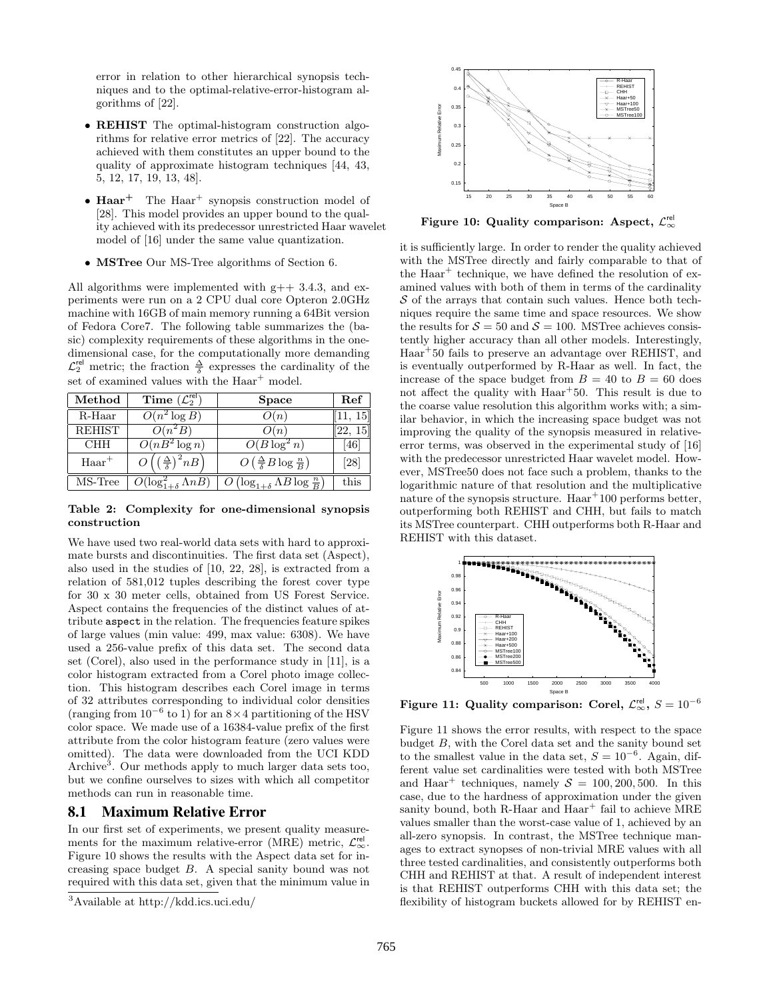error in relation to other hierarchical synopsis techniques and to the optimal-relative-error-histogram algorithms of [22].

- **REHIST** The optimal-histogram construction algorithms for relative error metrics of [22]. The accuracy achieved with them constitutes an upper bound to the quality of approximate histogram techniques [44, 43, 5, 12, 17, 19, 13, 48].
- Haar<sup>+</sup> The Haar<sup>+</sup> synopsis construction model of [28]. This model provides an upper bound to the quality achieved with its predecessor unrestricted Haar wavelet model of [16] under the same value quantization.
- MSTree Our MS-Tree algorithms of Section 6.

All algorithms were implemented with  $g++3.4.3$ , and experiments were run on a 2 CPU dual core Opteron 2.0GHz machine with 16GB of main memory running a 64Bit version of Fedora Core7. The following table summarizes the (basic) complexity requirements of these algorithms in the onedimensional case, for the computationally more demanding  $\mathcal{L}_2^{\text{rel}}$  metric; the fraction  $\frac{\Delta}{\delta}$  expresses the cardinality of the set of examined values with the Haar<sup>+</sup> model.

| Method     | Time $(\mathcal{L}_2^{\text{rel}})$                   | Space                                                 | Ref      |
|------------|-------------------------------------------------------|-------------------------------------------------------|----------|
| $R$ -Haar  | $\overline{O(n^2\log B)}$                             | O(n)                                                  | 11, 15   |
| REHIST     | $O(n^2B)$                                             | O(n)                                                  | [22, 15] |
| <b>CHH</b> | $\overline{O(nB^2 \log n)}$                           | $O(B \log^2 n)$                                       | 461      |
| $Haar^+$   | $\left(\frac{\Delta}{\delta}\right)^2 n \overline{B}$ | $O\left(\frac{\Delta}{\delta}B\log\frac{n}{B}\right)$ | [28]     |
| MS-Tree    | $O(\log_{1+\delta}^2 \Lambda \overline{nB})$          | $\log_{1+\delta} \Lambda B \log \frac{n}{B}$          | this     |

Table 2: Complexity for one-dimensional synopsis construction

We have used two real-world data sets with hard to approximate bursts and discontinuities. The first data set (Aspect), also used in the studies of [10, 22, 28], is extracted from a relation of 581,012 tuples describing the forest cover type for 30 x 30 meter cells, obtained from US Forest Service. Aspect contains the frequencies of the distinct values of attribute aspect in the relation. The frequencies feature spikes of large values (min value: 499, max value: 6308). We have used a 256-value prefix of this data set. The second data set (Corel), also used in the performance study in [11], is a color histogram extracted from a Corel photo image collection. This histogram describes each Corel image in terms of 32 attributes corresponding to individual color densities (ranging from  $10^{-6}$  to 1) for an  $8 \times 4$  partitioning of the HSV color space. We made use of a 16384-value prefix of the first attribute from the color histogram feature (zero values were omitted). The data were downloaded from the UCI KDD Archive<sup>3</sup>. Our methods apply to much larger data sets too, but we confine ourselves to sizes with which all competitor methods can run in reasonable time. 5 Flam model of the model of the model of the model of the model of the model of the model of the model of the model of the model of the model of the model of the model of the model of the model of the model of the model

## 8.1 Maximum Relative Error

In our first set of experiments, we present quality measurements for the maximum relative-error (MRE) metric,  $\mathcal{L}_{\infty}^{\text{rel}}$ . Figure 10 shows the results with the Aspect data set for increasing space budget B. A special sanity bound was not required with this data set, given that the minimum value in



Figure 10: Quality comparison: Aspect,  $\mathcal{L}^{\text{rel}}_{\infty}$ 

it is sufficiently large. In order to render the quality achieved with the MSTree directly and fairly comparable to that of the  $Haar^+$  technique, we have defined the resolution of examined values with both of them in terms of the cardinality  $S$  of the arrays that contain such values. Hence both techniques require the same time and space resources. We show the results for  $S = 50$  and  $S = 100$ . MSTree achieves consistently higher accuracy than all other models. Interestingly, Haar<sup>+</sup>50 fails to preserve an advantage over REHIST, and is eventually outperformed by R-Haar as well. In fact, the increase of the space budget from  $B = 40$  to  $B = 60$  does not affect the quality with Haar<sup>+50</sup>. This result is due to the coarse value resolution this algorithm works with; a similar behavior, in which the increasing space budget was not improving the quality of the synopsis measured in relativeerror terms, was observed in the experimental study of [16] with the predecessor unrestricted Haar wavelet model. However, MSTree50 does not face such a problem, thanks to the logarithmic nature of that resolution and the multiplicative nature of the synopsis structure.  $Haar^+100$  performs better, outperforming both REHIST and CHH, but fails to match its MSTree counterpart. CHH outperforms both R-Haar and REHIST with this dataset.



Figure 11: Quality comparison: Corel,  $\mathcal{L}^{\textsf{rel}}_{\infty}, S = 10^{-6}$ 

Figure 11 shows the error results, with respect to the space budget B, with the Corel data set and the sanity bound set to the smallest value in the data set,  $S = 10^{-6}$ . Again, different value set cardinalities were tested with both MSTree and Haar<sup>+</sup> techniques, namely  $S = 100, 200, 500$ . In this case, due to the hardness of approximation under the given sanity bound, both R-Haar and  $Haar^+$  fail to achieve MRE values smaller than the worst-case value of 1, achieved by an all-zero synopsis. In contrast, the MSTree technique manages to extract synopses of non-trivial MRE values with all three tested cardinalities, and consistently outperforms both CHH and REHIST at that. A result of independent interest is that REHIST outperforms CHH with this data set; the flexibility of histogram buckets allowed for by REHIST en-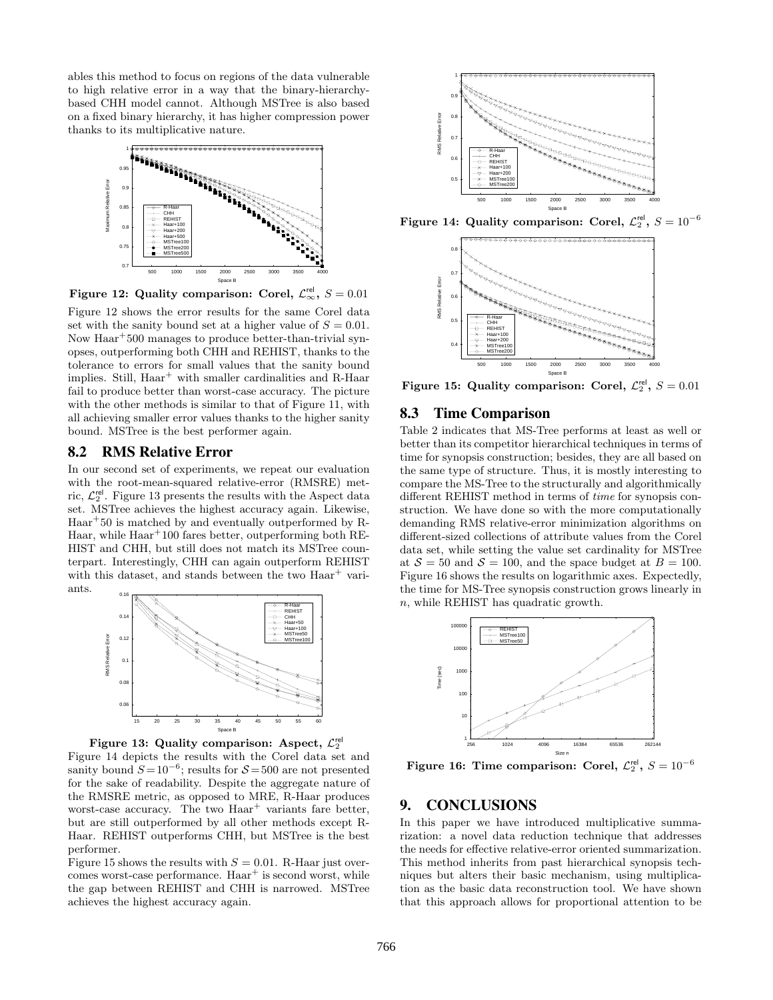ables this method to focus on regions of the data vulnerable to high relative error in a way that the binary-hierarchybased CHH model cannot. Although MSTree is also based on a fixed binary hierarchy, it has higher compression power thanks to its multiplicative nature.



Figure 12: Quality comparison: Corel,  $\mathcal{L}_{\infty}^{\text{rel}}, S = 0.01$ 

Figure 12 shows the error results for the same Corel data set with the sanity bound set at a higher value of  $S = 0.01$ . Now Haar<sup>+</sup>500 manages to produce better-than-trivial synopses, outperforming both CHH and REHIST, thanks to the tolerance to errors for small values that the sanity bound implies. Still, Haar<sup>+</sup> with smaller cardinalities and R-Haar fail to produce better than worst-case accuracy. The picture with the other methods is similar to that of Figure 11, with all achieving smaller error values thanks to the higher sanity bound. MSTree is the best performer again.

#### 8.2 RMS Relative Error

In our second set of experiments, we repeat our evaluation with the root-mean-squared relative-error (RMSRE) metric,  $\mathcal{L}_2^{\text{rel}}$ . Figure 13 presents the results with the Aspect data set. MSTree achieves the highest accuracy again. Likewise, Haar<sup>+</sup>50 is matched by and eventually outperformed by R-Haar, while Haar<sup>+</sup>100 fares better, outperforming both RE-HIST and CHH, but still does not match its MSTree counterpart. Interestingly, CHH can again outperform REHIST with this dataset, and stands between the two  $Haar^+$  variants.



Figure 13: Quality comparison: Aspect,  $\mathcal{L}_2^{\text{rel}}$ Figure 14 depicts the results with the Corel data set and sanity bound  $S = 10^{-6}$ ; results for  $S = 500$  are not presented for the sake of readability. Despite the aggregate nature of the RMSRE metric, as opposed to MRE, R-Haar produces worst-case accuracy. The two  $Haar^+$  variants fare better, but are still outperformed by all other methods except R-Haar. REHIST outperforms CHH, but MSTree is the best performer.

Figure 15 shows the results with  $S = 0.01$ . R-Haar just overcomes worst-case performance.  $Haar^+$  is second worst, while the gap between REHIST and CHH is narrowed. MSTree achieves the highest accuracy again.



Figure 14: Quality comparison: Corel,  $\mathcal{L}_2^{\mathsf{rel}},\,S=10^{-6}$ 



Figure 15: Quality comparison: Corel,  $\mathcal{L}_2^{\text{rel}}$ ,  $S = 0.01$ 

#### 8.3 Time Comparison

Table 2 indicates that MS-Tree performs at least as well or better than its competitor hierarchical techniques in terms of time for synopsis construction; besides, they are all based on the same type of structure. Thus, it is mostly interesting to compare the MS-Tree to the structurally and algorithmically different REHIST method in terms of time for synopsis construction. We have done so with the more computationally demanding RMS relative-error minimization algorithms on different-sized collections of attribute values from the Corel data set, while setting the value set cardinality for MSTree at  $S = 50$  and  $S = 100$ , and the space budget at  $B = 100$ . Figure 16 shows the results on logarithmic axes. Expectedly, the time for MS-Tree synopsis construction grows linearly in n, while REHIST has quadratic growth.



Figure 16: Time comparison: Corel,  $\mathcal{L}_2^{\textsf{rel}}, S = 10^{-6}$ 

## 9. CONCLUSIONS

In this paper we have introduced multiplicative summarization: a novel data reduction technique that addresses the needs for effective relative-error oriented summarization. This method inherits from past hierarchical synopsis techniques but alters their basic mechanism, using multiplication as the basic data reconstruction tool. We have shown that this approach allows for proportional attention to be